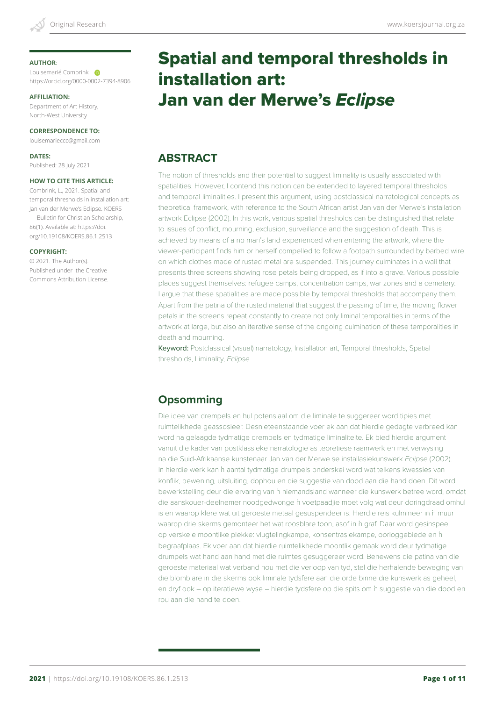#### **AUTHOR**:

Louisemarié Combrink https://orcid.org/0000-0002-7394-8906

#### **AFFILIATION:**

Department of Art History, North-West University

#### **CORRESPONDENCE TO:**

louisemarieccc@gmail.com

**DATES:** Published: 28 July 2021

#### **HOW TO CITE THIS ARTICLE:**

Combrink, L., 2021. Spatial and temporal thresholds in installation art: Jan van der Merwe's Eclipse. KOERS — Bulletin for Christian Scholarship, 86(1). Available at: https://doi. org/10.19108/KOERS.86.1.2513

#### **COPYRIGHT:**

© 2021. The Author(s). Published under the Creative Commons Attribution License.

# Spatial and temporal thresholds in installation art: Jan van der Merwe's *Eclipse*

### **ABSTRACT**

The notion of thresholds and their potential to suggest liminality is usually associated with spatialities. However, I contend this notion can be extended to layered temporal thresholds and temporal liminalities. I present this argument, using postclassical narratological concepts as theoretical framework, with reference to the South African artist Jan van der Merwe's installation artwork Eclipse (2002). In this work, various spatial thresholds can be distinguished that relate to issues of conflict, mourning, exclusion, surveillance and the suggestion of death. This is achieved by means of a no man's land experienced when entering the artwork, where the viewer-participant finds him or herself compelled to follow a footpath surrounded by barbed wire on which clothes made of rusted metal are suspended. This journey culminates in a wall that presents three screens showing rose petals being dropped, as if into a grave. Various possible places suggest themselves: refugee camps, concentration camps, war zones and a cemetery. I argue that these spatialities are made possible by temporal thresholds that accompany them. Apart from the patina of the rusted material that suggest the passing of time, the moving flower petals in the screens repeat constantly to create not only liminal temporalities in terms of the artwork at large, but also an iterative sense of the ongoing culmination of these temporalities in death and mourning.

Keyword: Postclassical (visual) narratology, Installation art, Temporal thresholds, Spatial thresholds, Liminality, *Eclipse*

### **Opsomming**

Die idee van drempels en hul potensiaal om die liminale te suggereer word tipies met ruimtelikhede geassosieer. Desnieteenstaande voer ek aan dat hierdie gedagte verbreed kan word na gelaagde tydmatige drempels en tydmatige liminaliteite. Ek bied hierdie argument vanuit die kader van postklassieke narratologie as teoretiese raamwerk en met verwysing na die Suid-Afrikaanse kunstenaar Jan van der Merwe se installasiekunswerk *Eclipse* (2002). In hierdie werk kan 'n aantal tydmatige drumpels onderskei word wat telkens kwessies van konflik, bewening, uitsluiting, dophou en die suggestie van dood aan die hand doen. Dit word bewerkstelling deur die ervaring van 'n niemandsland wanneer die kunswerk betree word, omdat die aanskouer-deelnemer noodgedwonge 'n voetpaadjie moet volg wat deur doringdraad omhul is en waarop klere wat uit geroeste metaal gesuspendeer is. Hierdie reis kulmineer in 'n muur waarop drie skerms gemonteer het wat roosblare toon, asof in 'n graf. Daar word gesinspeel op verskeie moontlike plekke: vlugtelingkampe, konsentrasiekampe, oorloggebiede en 'n begraafplaas. Ek voer aan dat hierdie ruimtelikhede moontlik gemaak word deur tydmatige drumpels wat hand aan hand met die ruimtes gesuggereer word. Benewens die patina van die geroeste materiaal wat verband hou met die verloop van tyd, stel die herhalende beweging van die blomblare in die skerms ook liminale tydsfere aan die orde binne die kunswerk as geheel, en dryf ook – op iteratiewe wyse – hierdie tydsfere op die spits om 'n suggestie van die dood en rou aan die hand te doen.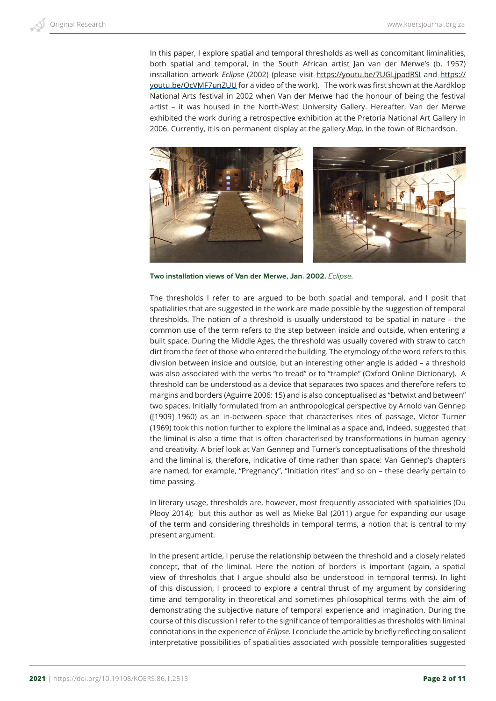In this paper, I explore spatial and temporal thresholds as well as concomitant liminalities, both spatial and temporal, in the South African artist Jan van der Merwe's (b. 1957) installation artwork *Eclipse* (2002) (please visit https://youtu.be/7UGLjpadRSI and https:// youtu.be/OcVMF7unZUU for a video of the work). The work was first shown at the Aardklop National Arts festival in 2002 when Van der Merwe had the honour of being the festival artist – it was housed in the North-West University Gallery. Hereafter, Van der Merwe exhibited the work during a retrospective exhibition at the Pretoria National Art Gallery in 2006. Currently, it is on permanent display at the gallery *Map,* in the town of Richardson.



**Two installation views of Van der Merwe, Jan. 2002.** *Eclipse.*

The thresholds I refer to are argued to be both spatial and temporal, and I posit that spatialities that are suggested in the work are made possible by the suggestion of temporal thresholds. The notion of a threshold is usually understood to be spatial in nature – the common use of the term refers to the step between inside and outside, when entering a built space. During the Middle Ages, the threshold was usually covered with straw to catch dirt from the feet of those who entered the building. The etymology of the word refers to this division between inside and outside, but an interesting other angle is added – a threshold was also associated with the verbs "to tread" or to "trample" (Oxford Online Dictionary). A threshold can be understood as a device that separates two spaces and therefore refers to margins and borders (Aguirre 2006: 15) and is also conceptualised as "betwixt and between" two spaces. Initially formulated from an anthropological perspective by Arnold van Gennep ([1909] 1960) as an in-between space that characterises rites of passage, Victor Turner (1969) took this notion further to explore the liminal as a space and, indeed, suggested that the liminal is also a time that is often characterised by transformations in human agency and creativity. A brief look at Van Gennep and Turner's conceptualisations of the threshold and the liminal is, therefore, indicative of time rather than space: Van Gennep's chapters are named, for example, "Pregnancy", "Initiation rites" and so on – these clearly pertain to time passing.

In literary usage, thresholds are, however, most frequently associated with spatialities (Du Plooy 2014); but this author as well as Mieke Bal (2011) argue for expanding our usage of the term and considering thresholds in temporal terms, a notion that is central to my present argument.

In the present article, I peruse the relationship between the threshold and a closely related concept, that of the liminal. Here the notion of borders is important (again, a spatial view of thresholds that I argue should also be understood in temporal terms). In light of this discussion, I proceed to explore a central thrust of my argument by considering time and temporality in theoretical and sometimes philosophical terms with the aim of demonstrating the subjective nature of temporal experience and imagination. During the course of this discussion I refer to the significance of temporalities as thresholds with liminal connotations in the experience of *Eclipse*. I conclude the article by briefly reflecting on salient interpretative possibilities of spatialities associated with possible temporalities suggested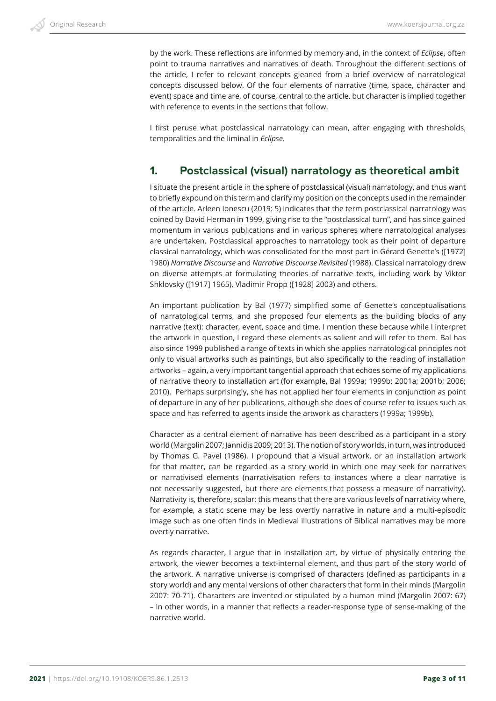by the work. These reflections are informed by memory and, in the context of *Eclipse*, often point to trauma narratives and narratives of death. Throughout the different sections of the article, I refer to relevant concepts gleaned from a brief overview of narratological concepts discussed below. Of the four elements of narrative (time, space, character and event) space and time are, of course, central to the article, but character is implied together with reference to events in the sections that follow.

I first peruse what postclassical narratology can mean, after engaging with thresholds, temporalities and the liminal in *Eclipse.*

### **1. Postclassical (visual) narratology as theoretical ambit**

I situate the present article in the sphere of postclassical (visual) narratology, and thus want to briefly expound on this term and clarify my position on the concepts used in the remainder of the article. Arleen Ionescu (2019: 5) indicates that the term postclassical narratology was coined by David Herman in 1999, giving rise to the "postclassical turn", and has since gained momentum in various publications and in various spheres where narratological analyses are undertaken. Postclassical approaches to narratology took as their point of departure classical narratology, which was consolidated for the most part in Gérard Genette's ([1972] 1980) *Narrative Discourse* and *Narrative Discourse Revisited* (1988). Classical narratology drew on diverse attempts at formulating theories of narrative texts, including work by Viktor Shklovsky ([1917] 1965), Vladimir Propp ([1928] 2003) and others.

An important publication by Bal (1977) simplified some of Genette's conceptualisations of narratological terms, and she proposed four elements as the building blocks of any narrative (text): character, event, space and time. I mention these because while I interpret the artwork in question, I regard these elements as salient and will refer to them. Bal has also since 1999 published a range of texts in which she applies narratological principles not only to visual artworks such as paintings, but also specifically to the reading of installation artworks – again, a very important tangential approach that echoes some of my applications of narrative theory to installation art (for example, Bal 1999a; 1999b; 2001a; 2001b; 2006; 2010). Perhaps surprisingly, she has not applied her four elements in conjunction as point of departure in any of her publications, although she does of course refer to issues such as space and has referred to agents inside the artwork as characters (1999a; 1999b).

Character as a central element of narrative has been described as a participant in a story world (Margolin 2007; Jannidis 2009; 2013). The notion of story worlds, in turn, was introduced by Thomas G. Pavel (1986). I propound that a visual artwork, or an installation artwork for that matter, can be regarded as a story world in which one may seek for narratives or narrativised elements (narrativisation refers to instances where a clear narrative is not necessarily suggested, but there are elements that possess a measure of narrativity). Narrativity is, therefore, scalar; this means that there are various levels of narrativity where, for example, a static scene may be less overtly narrative in nature and a multi-episodic image such as one often finds in Medieval illustrations of Biblical narratives may be more overtly narrative.

As regards character, I argue that in installation art, by virtue of physically entering the artwork, the viewer becomes a text-internal element, and thus part of the story world of the artwork. A narrative universe is comprised of characters (defined as participants in a story world) and any mental versions of other characters that form in their minds (Margolin 2007: 70-71). Characters are invented or stipulated by a human mind (Margolin 2007: 67) – in other words, in a manner that reflects a reader-response type of sense-making of the narrative world.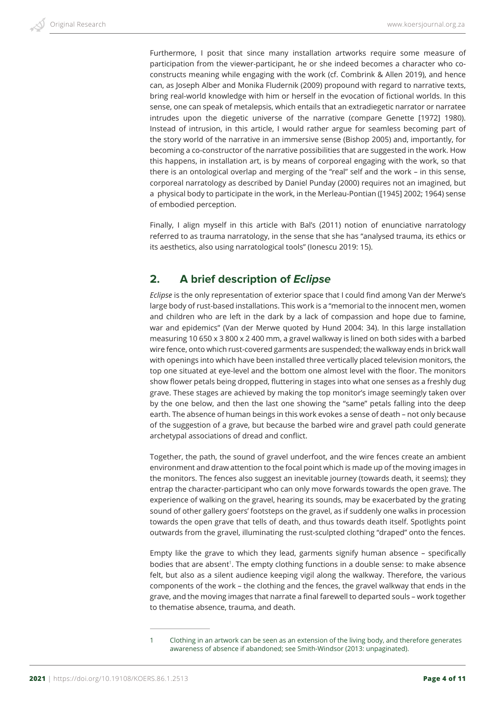Furthermore, I posit that since many installation artworks require some measure of participation from the viewer-participant, he or she indeed becomes a character who coconstructs meaning while engaging with the work (cf. Combrink & Allen 2019), and hence can, as Joseph Alber and Monika Fludernik (2009) propound with regard to narrative texts, bring real-world knowledge with him or herself in the evocation of fictional worlds. In this sense, one can speak of metalepsis, which entails that an extradiegetic narrator or narratee intrudes upon the diegetic universe of the narrative (compare Genette [1972] 1980). Instead of intrusion, in this article, I would rather argue for seamless becoming part of the story world of the narrative in an immersive sense (Bishop 2005) and, importantly, for becoming a co-constructor of the narrative possibilities that are suggested in the work. How this happens, in installation art, is by means of corporeal engaging with the work, so that there is an ontological overlap and merging of the "real" self and the work – in this sense, corporeal narratology as described by Daniel Punday (2000) requires not an imagined, but a physical body to participate in the work, in the Merleau-Pontian ([1945] 2002; 1964) sense of embodied perception.

Finally, I align myself in this article with Bal's (2011) notion of enunciative narratology referred to as trauma narratology, in the sense that she has "analysed trauma, its ethics or its aesthetics, also using narratological tools" (Ionescu 2019: 15).

# **2. A brief description of** *Eclipse*

*Eclipse* is the only representation of exterior space that I could find among Van der Merwe's large body of rust-based installations. This work is a "memorial to the innocent men, women and children who are left in the dark by a lack of compassion and hope due to famine, war and epidemics" (Van der Merwe quoted by Hund 2004: 34). In this large installation measuring 10 650 x 3 800 x 2 400 mm, a gravel walkway is lined on both sides with a barbed wire fence, onto which rust-covered garments are suspended; the walkway ends in brick wall with openings into which have been installed three vertically placed television monitors, the top one situated at eye-level and the bottom one almost level with the floor. The monitors show flower petals being dropped, fluttering in stages into what one senses as a freshly dug grave. These stages are achieved by making the top monitor's image seemingly taken over by the one below, and then the last one showing the "same" petals falling into the deep earth. The absence of human beings in this work evokes a sense of death – not only because of the suggestion of a grave, but because the barbed wire and gravel path could generate archetypal associations of dread and conflict.

Together, the path, the sound of gravel underfoot, and the wire fences create an ambient environment and draw attention to the focal point which is made up of the moving images in the monitors. The fences also suggest an inevitable journey (towards death, it seems); they entrap the character-participant who can only move forwards towards the open grave. The experience of walking on the gravel, hearing its sounds, may be exacerbated by the grating sound of other gallery goers' footsteps on the gravel, as if suddenly one walks in procession towards the open grave that tells of death, and thus towards death itself. Spotlights point outwards from the gravel, illuminating the rust-sculpted clothing "draped" onto the fences.

Empty like the grave to which they lead, garments signify human absence – specifically bodies that are absent<sup>1</sup>. The empty clothing functions in a double sense: to make absence felt, but also as a silent audience keeping vigil along the walkway. Therefore, the various components of the work – the clothing and the fences, the gravel walkway that ends in the grave, and the moving images that narrate a final farewell to departed souls – work together to thematise absence, trauma, and death.

<sup>1</sup> Clothing in an artwork can be seen as an extension of the living body, and therefore generates awareness of absence if abandoned; see Smith-Windsor (2013: unpaginated).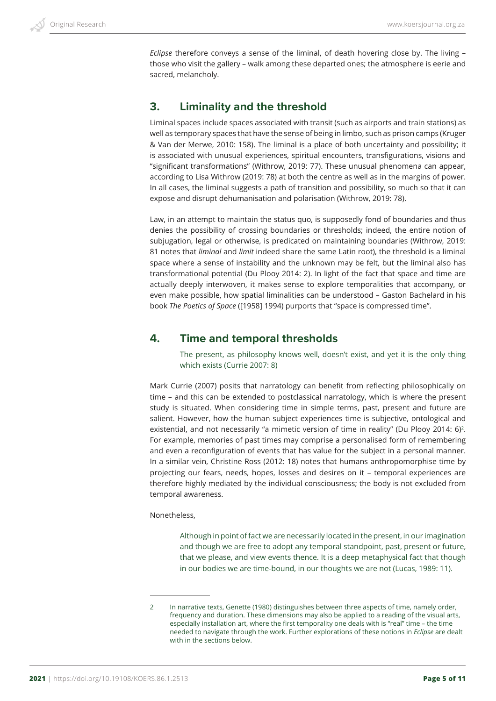*Eclipse* therefore conveys a sense of the liminal, of death hovering close by. The living – those who visit the gallery – walk among these departed ones; the atmosphere is eerie and sacred, melancholy.

### **3. Liminality and the threshold**

Liminal spaces include spaces associated with transit (such as airports and train stations) as well as temporary spaces that have the sense of being in limbo, such as prison camps (Kruger & Van der Merwe, 2010: 158). The liminal is a place of both uncertainty and possibility; it is associated with unusual experiences, spiritual encounters, transfigurations, visions and "significant transformations" (Withrow, 2019: 77). These unusual phenomena can appear, according to Lisa Withrow (2019: 78) at both the centre as well as in the margins of power. In all cases, the liminal suggests a path of transition and possibility, so much so that it can expose and disrupt dehumanisation and polarisation (Withrow, 2019: 78).

Law, in an attempt to maintain the status quo, is supposedly fond of boundaries and thus denies the possibility of crossing boundaries or thresholds; indeed, the entire notion of subjugation, legal or otherwise, is predicated on maintaining boundaries (Withrow, 2019: 81 notes that *liminal* and *limit* indeed share the same Latin root), the threshold is a liminal space where a sense of instability and the unknown may be felt, but the liminal also has transformational potential (Du Plooy 2014: 2). In light of the fact that space and time are actually deeply interwoven, it makes sense to explore temporalities that accompany, or even make possible, how spatial liminalities can be understood – Gaston Bachelard in his book *The Poetics of Space* ([1958] 1994) purports that "space is compressed time".

### **4. Time and temporal thresholds**

The present, as philosophy knows well, doesn't exist, and yet it is the only thing which exists (Currie 2007: 8)

Mark Currie (2007) posits that narratology can benefit from reflecting philosophically on time – and this can be extended to postclassical narratology, which is where the present study is situated. When considering time in simple terms, past, present and future are salient. However, how the human subject experiences time is subjective, ontological and existential, and not necessarily "a mimetic version of time in reality" (Du Plooy 2014: 6)<sup>2</sup>. For example, memories of past times may comprise a personalised form of remembering and even a reconfiguration of events that has value for the subject in a personal manner. In a similar vein, Christine Ross (2012: 18) notes that humans anthropomorphise time by projecting our fears, needs, hopes, losses and desires on it – temporal experiences are therefore highly mediated by the individual consciousness; the body is not excluded from temporal awareness.

#### Nonetheless,

Although in point of fact we are necessarily located in the present, in our imagination and though we are free to adopt any temporal standpoint, past, present or future, that we please, and view events thence. It is a deep metaphysical fact that though in our bodies we are time-bound, in our thoughts we are not (Lucas, 1989: 11).

<sup>2</sup> In narrative texts, Genette (1980) distinguishes between three aspects of time, namely order, frequency and duration. These dimensions may also be applied to a reading of the visual arts, especially installation art, where the first temporality one deals with is "real" time – the time needed to navigate through the work. Further explorations of these notions in *Eclipse* are dealt with in the sections below.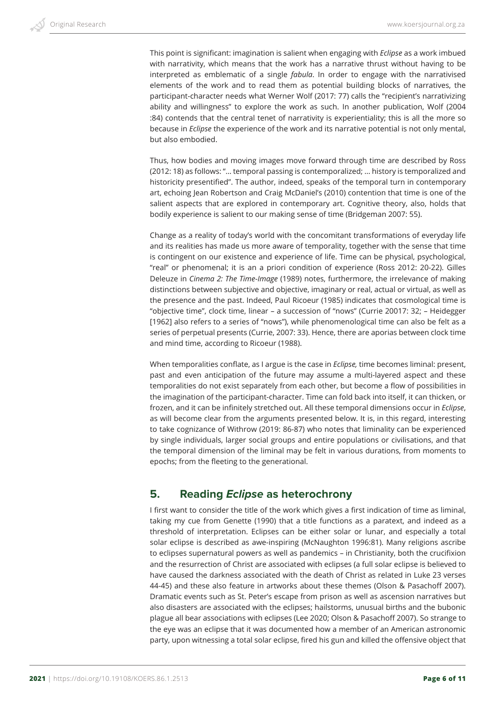This point is significant: imagination is salient when engaging with *Eclipse* as a work imbued with narrativity, which means that the work has a narrative thrust without having to be interpreted as emblematic of a single *fabula*. In order to engage with the narrativised elements of the work and to read them as potential building blocks of narratives, the participant-character needs what Werner Wolf (2017: 77) calls the "recipient's narrativizing ability and willingness" to explore the work as such. In another publication, Wolf (2004 :84) contends that the central tenet of narrativity is experientiality; this is all the more so because in *Eclipse* the experience of the work and its narrative potential is not only mental, but also embodied.

Thus, how bodies and moving images move forward through time are described by Ross (2012: 18) as follows: "… temporal passing is contemporalized; … history is temporalized and historicity presentified". The author, indeed, speaks of the temporal turn in contemporary art, echoing Jean Robertson and Craig McDaniel's (2010) contention that time is one of the salient aspects that are explored in contemporary art. Cognitive theory, also, holds that bodily experience is salient to our making sense of time (Bridgeman 2007: 55).

Change as a reality of today's world with the concomitant transformations of everyday life and its realities has made us more aware of temporality, together with the sense that time is contingent on our existence and experience of life. Time can be physical, psychological, "real" or phenomenal; it is an a priori condition of experience (Ross 2012: 20-22). Gilles Deleuze in *Cinema 2: The Time-Image* (1989) notes, furthermore, the irrelevance of making distinctions between subjective and objective, imaginary or real, actual or virtual, as well as the presence and the past. Indeed, Paul Ricoeur (1985) indicates that cosmological time is "objective time", clock time, linear – a succession of "nows" (Currie 20017: 32; – Heidegger [1962] also refers to a series of "nows"), while phenomenological time can also be felt as a series of perpetual presents (Currie, 2007: 33). Hence, there are aporias between clock time and mind time, according to Ricoeur (1988).

When temporalities conflate, as I argue is the case in *Eclipse,* time becomes liminal: present, past and even anticipation of the future may assume a multi-layered aspect and these temporalities do not exist separately from each other, but become a flow of possibilities in the imagination of the participant-character. Time can fold back into itself, it can thicken, or frozen, and it can be infinitely stretched out. All these temporal dimensions occur in *Eclipse*, as will become clear from the arguments presented below. It is, in this regard, interesting to take cognizance of Withrow (2019: 86-87) who notes that liminality can be experienced by single individuals, larger social groups and entire populations or civilisations, and that the temporal dimension of the liminal may be felt in various durations, from moments to epochs; from the fleeting to the generational.

# **5. Reading** *Eclipse* **as heterochrony**

I first want to consider the title of the work which gives a first indication of time as liminal, taking my cue from Genette (1990) that a title functions as a paratext, and indeed as a threshold of interpretation. Eclipses can be either solar or lunar, and especially a total solar eclipse is described as awe-inspiring (McNaughton 1996:81). Many religions ascribe to eclipses supernatural powers as well as pandemics – in Christianity, both the crucifixion and the resurrection of Christ are associated with eclipses (a full solar eclipse is believed to have caused the darkness associated with the death of Christ as related in Luke 23 verses 44-45) and these also feature in artworks about these themes (Olson & Pasachoff 2007). Dramatic events such as St. Peter's escape from prison as well as ascension narratives but also disasters are associated with the eclipses; hailstorms, unusual births and the bubonic plague all bear associations with eclipses (Lee 2020; Olson & Pasachoff 2007). So strange to the eye was an eclipse that it was documented how a member of an American astronomic party, upon witnessing a total solar eclipse, fired his gun and killed the offensive object that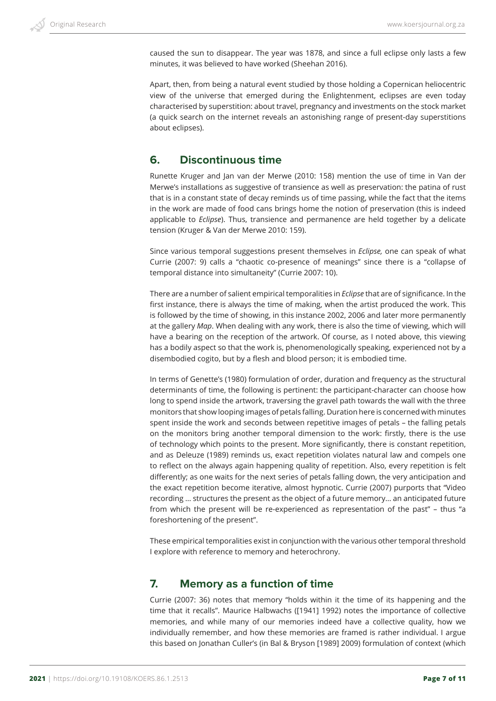caused the sun to disappear. The year was 1878, and since a full eclipse only lasts a few minutes, it was believed to have worked (Sheehan 2016).

Apart, then, from being a natural event studied by those holding a Copernican heliocentric view of the universe that emerged during the Enlightenment, eclipses are even today characterised by superstition: about travel, pregnancy and investments on the stock market (a quick search on the internet reveals an astonishing range of present-day superstitions about eclipses).

# **6. Discontinuous time**

Runette Kruger and Jan van der Merwe (2010: 158) mention the use of time in Van der Merwe's installations as suggestive of transience as well as preservation: the patina of rust that is in a constant state of decay reminds us of time passing, while the fact that the items in the work are made of food cans brings home the notion of preservation (this is indeed applicable to *Eclipse*). Thus, transience and permanence are held together by a delicate tension (Kruger & Van der Merwe 2010: 159).

Since various temporal suggestions present themselves in *Eclipse,* one can speak of what Currie (2007: 9) calls a "chaotic co-presence of meanings" since there is a "collapse of temporal distance into simultaneity" (Currie 2007: 10).

There are a number of salient empirical temporalities in *Eclipse* that are of significance. In the first instance, there is always the time of making, when the artist produced the work. This is followed by the time of showing, in this instance 2002, 2006 and later more permanently at the gallery *Map*. When dealing with any work, there is also the time of viewing, which will have a bearing on the reception of the artwork. Of course, as I noted above, this viewing has a bodily aspect so that the work is, phenomenologically speaking, experienced not by a disembodied cogito, but by a flesh and blood person; it is embodied time.

In terms of Genette's (1980) formulation of order, duration and frequency as the structural determinants of time, the following is pertinent: the participant-character can choose how long to spend inside the artwork, traversing the gravel path towards the wall with the three monitors that show looping images of petals falling. Duration here is concerned with minutes spent inside the work and seconds between repetitive images of petals – the falling petals on the monitors bring another temporal dimension to the work: firstly, there is the use of technology which points to the present. More significantly, there is constant repetition, and as Deleuze (1989) reminds us, exact repetition violates natural law and compels one to reflect on the always again happening quality of repetition. Also, every repetition is felt differently; as one waits for the next series of petals falling down, the very anticipation and the exact repetition become iterative, almost hypnotic. Currie (2007) purports that "Video recording … structures the present as the object of a future memory… an anticipated future from which the present will be re-experienced as representation of the past" – thus "a foreshortening of the present".

These empirical temporalities exist in conjunction with the various other temporal threshold I explore with reference to memory and heterochrony.

### **7. Memory as a function of time**

Currie (2007: 36) notes that memory "holds within it the time of its happening and the time that it recalls". Maurice Halbwachs ([1941] 1992) notes the importance of collective memories, and while many of our memories indeed have a collective quality, how we individually remember, and how these memories are framed is rather individual. I argue this based on Jonathan Culler's (in Bal & Bryson [1989] 2009) formulation of context (which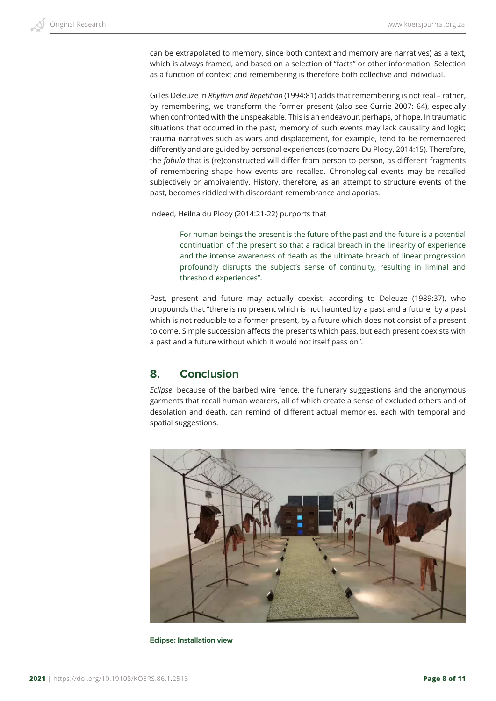can be extrapolated to memory, since both context and memory are narratives) as a text, which is always framed, and based on a selection of "facts" or other information. Selection as a function of context and remembering is therefore both collective and individual.

Gilles Deleuze in *Rhythm and Repetition* (1994:81) adds that remembering is not real – rather, by remembering, we transform the former present (also see Currie 2007: 64), especially when confronted with the unspeakable. This is an endeavour, perhaps, of hope. In traumatic situations that occurred in the past, memory of such events may lack causality and logic; trauma narratives such as wars and displacement, for example, tend to be remembered differently and are guided by personal experiences (compare Du Plooy, 2014:15). Therefore, the *fabula* that is (re)constructed will differ from person to person, as different fragments of remembering shape how events are recalled. Chronological events may be recalled subjectively or ambivalently. History, therefore, as an attempt to structure events of the past, becomes riddled with discordant remembrance and aporias.

Indeed, Heilna du Plooy (2014:21-22) purports that

For human beings the present is the future of the past and the future is a potential continuation of the present so that a radical breach in the linearity of experience and the intense awareness of death as the ultimate breach of linear progression profoundly disrupts the subject's sense of continuity, resulting in liminal and threshold experiences".

Past, present and future may actually coexist, according to Deleuze (1989:37), who propounds that "there is no present which is not haunted by a past and a future, by a past which is not reducible to a former present, by a future which does not consist of a present to come. Simple succession affects the presents which pass, but each present coexists with a past and a future without which it would not itself pass on".

# **8. Conclusion**

*Eclipse*, because of the barbed wire fence, the funerary suggestions and the anonymous garments that recall human wearers, all of which create a sense of excluded others and of desolation and death, can remind of different actual memories, each with temporal and spatial suggestions.



**Eclipse: Installation view**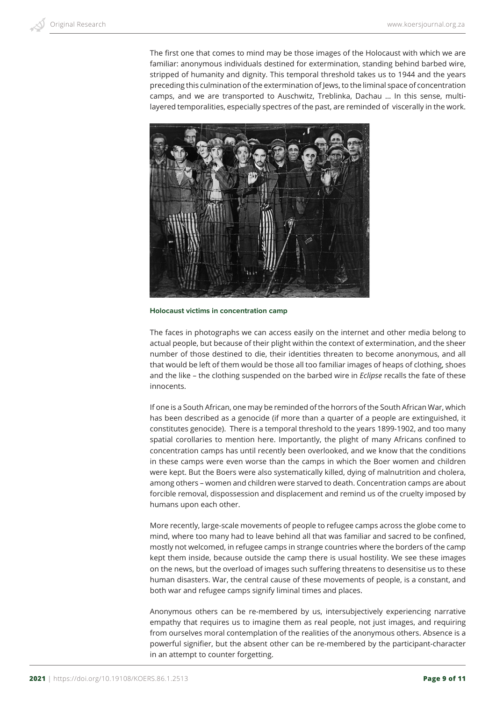The first one that comes to mind may be those images of the Holocaust with which we are familiar: anonymous individuals destined for extermination, standing behind barbed wire, stripped of humanity and dignity. This temporal threshold takes us to 1944 and the years preceding this culmination of the extermination of Jews, to the liminal space of concentration camps, and we are transported to Auschwitz, Treblinka, Dachau … In this sense, multilayered temporalities, especially spectres of the past, are reminded of viscerally in the work.



**Holocaust victims in concentration camp**

The faces in photographs we can access easily on the internet and other media belong to actual people, but because of their plight within the context of extermination, and the sheer number of those destined to die, their identities threaten to become anonymous, and all that would be left of them would be those all too familiar images of heaps of clothing, shoes and the like – the clothing suspended on the barbed wire in *Eclipse* recalls the fate of these innocents.

If one is a South African, one may be reminded of the horrors of the South African War, which has been described as a genocide (if more than a quarter of a people are extinguished, it constitutes genocide). There is a temporal threshold to the years 1899-1902, and too many spatial corollaries to mention here. Importantly, the plight of many Africans confined to concentration camps has until recently been overlooked, and we know that the conditions in these camps were even worse than the camps in which the Boer women and children were kept. But the Boers were also systematically killed, dying of malnutrition and cholera, among others – women and children were starved to death. Concentration camps are about forcible removal, dispossession and displacement and remind us of the cruelty imposed by humans upon each other.

More recently, large-scale movements of people to refugee camps across the globe come to mind, where too many had to leave behind all that was familiar and sacred to be confined, mostly not welcomed, in refugee camps in strange countries where the borders of the camp kept them inside, because outside the camp there is usual hostility. We see these images on the news, but the overload of images such suffering threatens to desensitise us to these human disasters. War, the central cause of these movements of people, is a constant, and both war and refugee camps signify liminal times and places.

Anonymous others can be re-membered by us, intersubjectively experiencing narrative empathy that requires us to imagine them as real people, not just images, and requiring from ourselves moral contemplation of the realities of the anonymous others. Absence is a powerful signifier, but the absent other can be re-membered by the participant-character in an attempt to counter forgetting.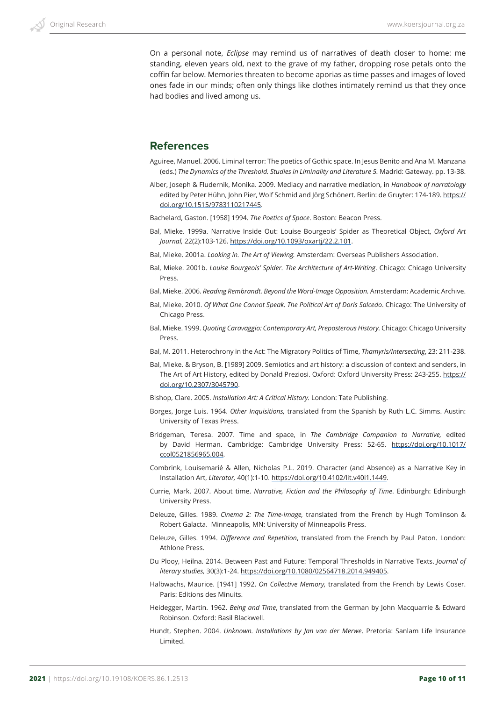On a personal note, *Eclipse* may remind us of narratives of death closer to home: me standing, eleven years old, next to the grave of my father, dropping rose petals onto the coffin far below. Memories threaten to become aporias as time passes and images of loved ones fade in our minds; often only things like clothes intimately remind us that they once had bodies and lived among us.

#### **References**

- Aguiree, Manuel. 2006. Liminal terror: The poetics of Gothic space. In Jesus Benito and Ana M. Manzana (eds.) *The Dynamics of the Threshold. Studies in Liminality and Literature 5.* Madrid: Gateway. pp. 13-38.
- Alber, Joseph & Fludernik, Monika. 2009. Mediacy and narrative mediation, in *Handbook of narratology* edited by Peter Hühn, John Pier, Wolf Schmid and Jörg Schönert. Berlin: de Gruyter: 174-189. https:// doi.org/10.1515/9783110217445.

Bachelard, Gaston. [1958] 1994. *The Poetics of Space*. Boston: Beacon Press.

- Bal, Mieke. 1999a. Narrative Inside Out: Louise Bourgeois' Spider as Theoretical Object, *Oxford Art Journal,* 22(2):103-126. https://doi.org/10.1093/oxartj/22.2.101.
- Bal, Mieke. 2001a. *Looking in. The Art of Viewing.* Amsterdam: Overseas Publishers Association.
- Bal, Mieke. 2001b. *Louise Bourgeois' Spider. The Architecture of Art-Writing*. Chicago: Chicago University Press.
- Bal, Mieke. 2006. *Reading Rembrandt. Beyond the Word-Image Opposition.* Amsterdam: Academic Archive.
- Bal, Mieke. 2010. *Of What One Cannot Speak. The Political Art of Doris Salcedo*. Chicago: The University of Chicago Press.
- Bal, Mieke. 1999. *Quoting Caravaggio: Contemporary Art, Preposterous History.* Chicago: Chicago University Press.
- Bal, M. 2011. Heterochrony in the Act: The Migratory Politics of Time, *Thamyris/Intersecting*, 23: 211-238.
- Bal, Mieke. & Bryson, B. [1989] 2009. Semiotics and art history: a discussion of context and senders, in The Art of Art History, edited by Donald Preziosi. Oxford: Oxford University Press: 243-255. https:// doi.org/10.2307/3045790.
- Bishop, Clare. 2005. *Installation Art: A Critical History.* London: Tate Publishing.
- Borges, Jorge Luis. 1964. *Other Inquisitions,* translated from the Spanish by Ruth L.C. Simms. Austin: University of Texas Press.
- Bridgeman, Teresa. 2007. Time and space, in *The Cambridge Companion to Narrative,* edited by David Herman. Cambridge: Cambridge University Press: 52-65. https://doi.org/10.1017/ ccol0521856965.004.
- Combrink, Louisemarié & Allen, Nicholas P.L. 2019. Character (and Absence) as a Narrative Key in Installation Art, *Literator,* 40(1):1-10. https://doi.org/10.4102/lit.v40i1.1449.
- Currie, Mark. 2007. About time. *Narrative, Fiction and the Philosophy of Time*. Edinburgh: Edinburgh University Press.
- Deleuze, Gilles. 1989. *Cinema 2: The Time-Image,* translated from the French by Hugh Tomlinson & Robert Galacta. Minneapolis, MN: University of Minneapolis Press.
- Deleuze, Gilles. 1994. *Difference and Repetition*, translated from the French by Paul Paton. London: Athlone Press.
- Du Plooy, Heilna. 2014. Between Past and Future: Temporal Thresholds in Narrative Texts. *Journal of literary studies,* 30(3):1-24. https://doi.org/10.1080/02564718.2014.949405.
- Halbwachs, Maurice. [1941] 1992. *On Collective Memory,* translated from the French by Lewis Coser. Paris: Editions des Minuits.
- Heidegger, Martin. 1962. *Being and Time*, translated from the German by John Macquarrie & Edward Robinson. Oxford: Basil Blackwell.
- Hundt, Stephen. 2004. *Unknown. Installations by Jan van der Merwe*. Pretoria: Sanlam Life Insurance Limited.